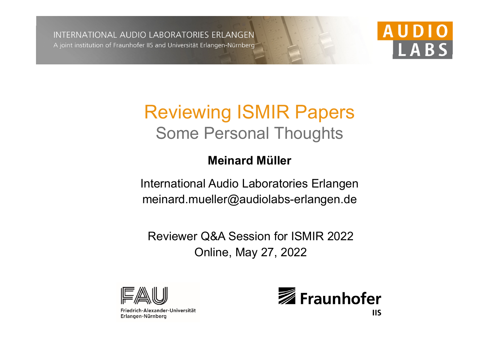INTERNATIONAL AUDIO LABORATORIES ERLANGEN A joint institution of Fraunhofer IIS and Universität Erlangen-Nürnberg



# Reviewing ISMIR Papers Some Personal Thoughts

#### **Meinard Müller**

International Audio Laboratories Erlangen meinard.mueller@audiolabs-erlangen.de

Reviewer Q&A Session for ISMIR 2022 Online, May 27, 2022



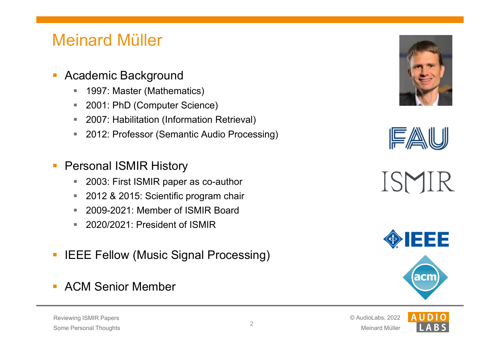## Meinard Müller

- $\mathbb{Z}^2$  Academic Background
	- $\blacksquare$ 1997: Master (Mathematics)
	- $\blacksquare$ 2001: PhD (Computer Science)
	- $\mathbf{r}$ 2007: Habilitation (Information Retrieval)
	- ш 2012: Professor (Semantic Audio Processing)
- Personal ISMIR History
	- $\blacksquare$ 2003: First ISMIR paper as co-author
	- $\blacksquare$ 2012 & 2015: Scientific program chair
	- $\mathbb{R}^n$ 2009-2021: Member of ISMIR Board
	- $\mathbf{u}$ 2020/2021: President of ISMIR
- IEEE Fellow (Music Signal Processing)
- π ACM Senior Member









#### Reviewing ISMIR Papers Some Personal Thoughts

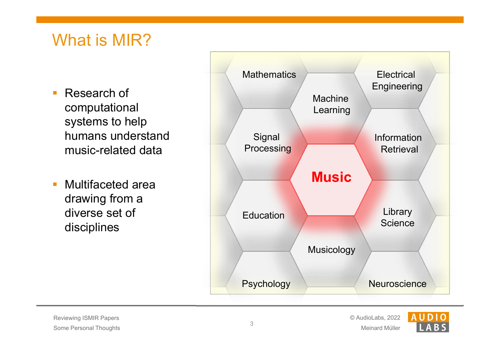# What is MIR?

- computational systems to help humans understand music-related data
- Multifaceted area drawing from a diverse set of disciplines



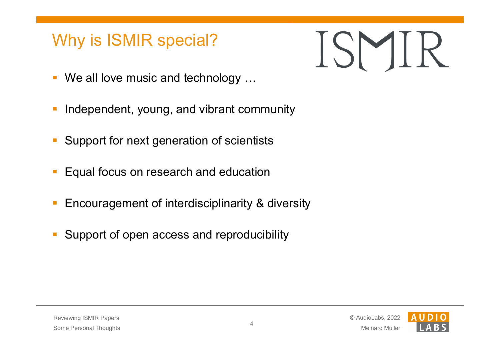### Why is ISMIR special?



- We all love music and technology …
- Independent, young, and vibrant community
- Support for next generation of scientists
- Equal focus on research and education
- Encouragement of interdisciplinarity & diversity
- Support of open access and reproducibility

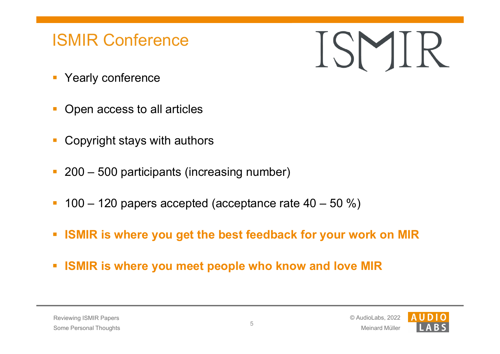### ISMIR Conference

 $|S|$ 

- **Yearly conference**
- Open access to all articles
- Copyright stays with authors
- 200 500 participants (increasing number)
- 100 120 papers accepted (acceptance rate  $40 50$  %)
- $\overline{\mathcal{A}}$ **ISMIR is where you get the best feedback for your work on MIR**
- **ISMIR is where you meet people who know and love MIR**

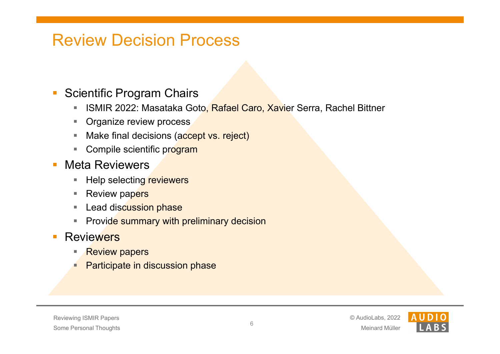### Review Decision Process

#### Scientific Program Chairs

- $\blacksquare$ ISMIR 2022: Masataka Goto, Rafael Caro, Xavier Serra, Rachel Bittner
- $\mathbb{Z}^{\mathbb{Z}^{\times}}$ Organize review process
- ш Make final decisions (accept vs. reject)
- Compile scientific program
- Meta Reviewers
	- $\blacksquare$ Help selecting reviewers
	- **C** C Review papers
	- $\mathcal{L}_{\mathcal{A}}$ Lead discussion phase
	- Provid<mark>e summary with preliminary decision</mark>
- $\mathcal{L}^{\text{max}}$ **Reviewers** 
	- г Review papers
	- Participate in discussion phase

#### Reviewing ISMIR Papers Some Personal Thoughts

Meinard Müller



6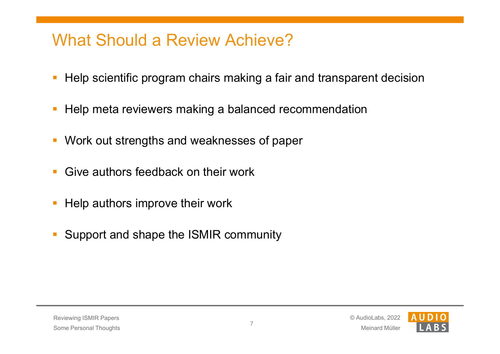### What Should a Review Achieve?

- Help scientific program chairs making a fair and transparent decision
- Help meta reviewers making a balanced recommendation
- Work out strengths and weaknesses of paper
- **Give authors feedback on their work**
- Help authors improve their work
- Support and shape the ISMIR community

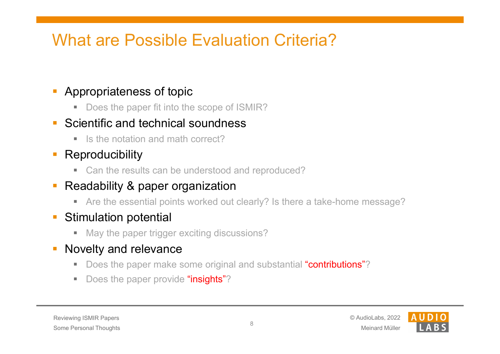# What are Possible Evaluation Criteria?

#### Appropriateness of topic

■ Does the paper fit into the scope of ISMIR?

#### Scientific and technical soundness

■ Is the notation and math correct?

#### Reproducibility

■ Can the results can be understood and reproduced?

#### Readability & paper organization

 $\blacksquare$ Are the essential points worked out clearly? Is there a take-home message?

#### $\mathcal{L}_{\mathcal{A}}$ Stimulation potential

■ May the paper trigger exciting discussions?

#### Novelty and relevance

- $\mathcal{L}_{\mathcal{A}}$ Does the paper make some original and substantial "contributions"?
- $\blacksquare$ Does the paper provide "insights"?

#### Reviewing ISMIR Papers Some Personal Thoughts

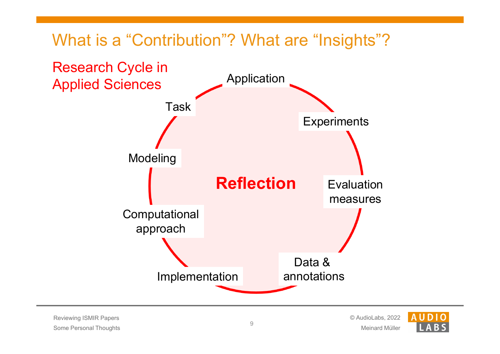# What is a "Contribution"? What are "Insights"?



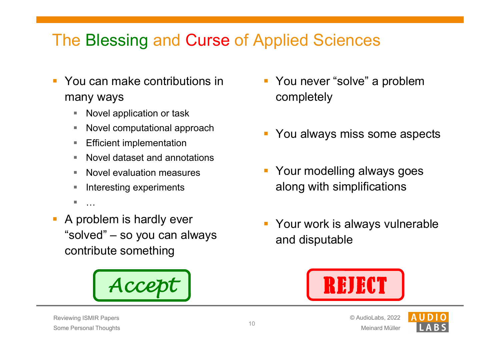# The Blessing and Curse of Applied Sciences

- You can make contributions in many ways
	- Г Novel application or task
	- $\blacksquare$ Novel computational approach
	- ш Efficient implementation
	- г Novel dataset and annotations
	- $\mathbb{R}^n$ Novel evaluation measures
	- Interesting experiments
	- ×, …
- A problem is hardly ever "solved" – so you can always contribute something



- $\overline{\mathbb{R}}$  You never "solve" a problem completely
- You always miss some aspects
- **Your modelling always goes** along with simplifications
- Your work is always vulnerable and disputable



Meinard Müller

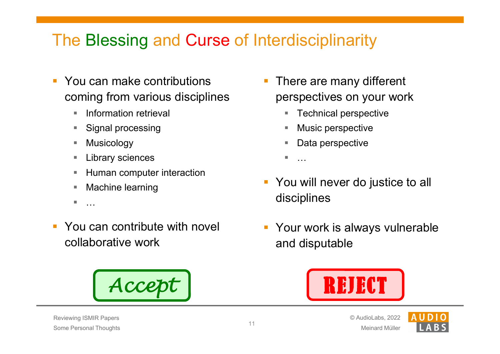# The Blessing and Curse of Interdisciplinarity

- You can make contributions coming from various disciplines
	- $\mathbb{R}^n$ Information retrieval
	- $\mathcal{L}_{\mathcal{A}}$ Signal processing
	- $\mathcal{L}_{\mathcal{A}}$ Musicology
	- г Library sciences
	- $\blacksquare$ Human computer interaction
	- $\blacksquare$ Machine learning
	- $\blacksquare$ …
- You can contribute with novel collaborative work



- There are many different perspectives on your work
	- $\overline{\phantom{a}}$ Technical perspective
	- п Music perspective
	- П Data perspective
	- ш …
- $\mathbb{R}^n$  You will never do justice to all disciplines
- $\mathcal{L}_{\mathcal{A}}$  Your work is always vulnerable and disputable



Meinard Müller

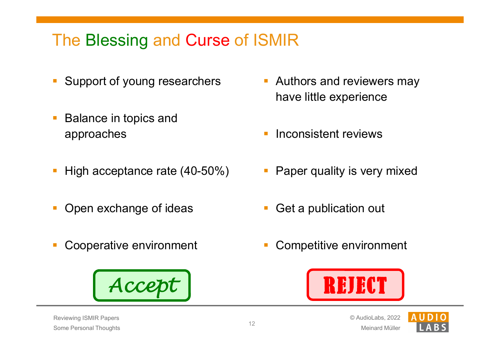# The Blessing and Curse of ISMIR

- Support of young researchers
- Balance in topics and approaches
- High acceptance rate (40-50%)
- Open exchange of ideas
- Cooperative environment



- $\overline{\phantom{a}}$  Authors and reviewers may have little experience
- T. Inconsistent reviews
- $\overline{\mathbb{R}}$ Paper quality is very mixed
- Get a publication out
- Competitive environment



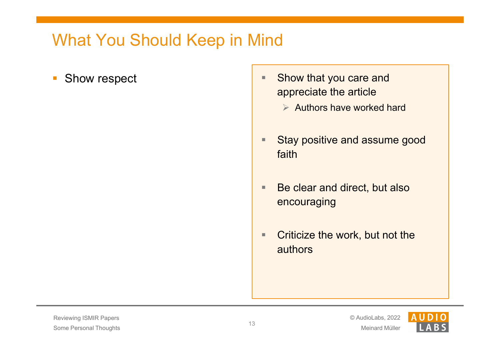- $\overline{\mathbb{R}^2}$ 
	- Show respect Show that you care and appreciate the article
		- $\triangleright$  Authors have worked hard
		- $\qquad \qquad \blacksquare$  Stay positive and assume good faith
		- $\blacksquare$  Be clear and direct, but also encouraging
		- $\blacksquare$  Criticize the work, but not the authors

Meinard Müller



13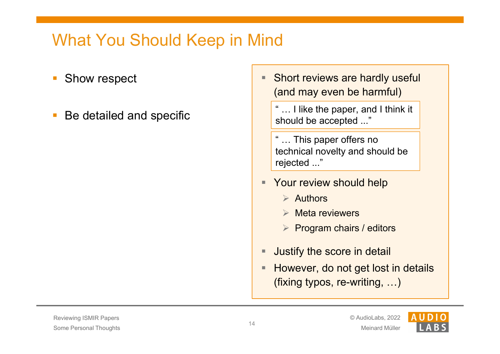- Show respect
- Be detailed and specific
- $\qquad \qquad \blacksquare$  Short reviews are hardly useful (and may even be harmful)
	- " … I like the paper, and I think it should be accepted ..."
	- ... This paper offers no technical novelty and should be rejected ..."
- **Your review should help** 
	- $\triangleright$  Authors
	- $\triangleright$  Meta reviewers
	- $\triangleright$  Program chairs / editors
- $\blacksquare$ Justify the score in detail
- $\blacksquare$  However, do not get lost in details (fixing typos, re-writing, …)

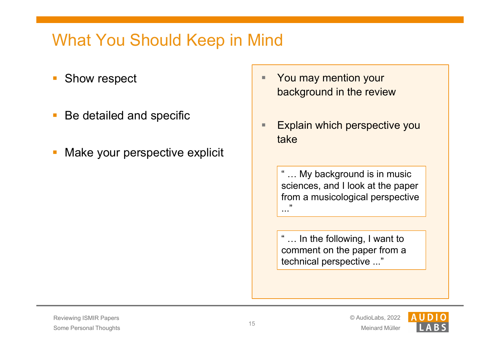- Show respect
- Be detailed and specific
- Make your perspective explicit
- $\blacksquare$  You may mention your background in the review
- $\blacksquare$  Explain which perspective you take

" … My background is in music sciences, and I look at the paper from a musicological perspective ..."<br>...

" … In the following, I want to comment on the paper from a technical perspective ..."

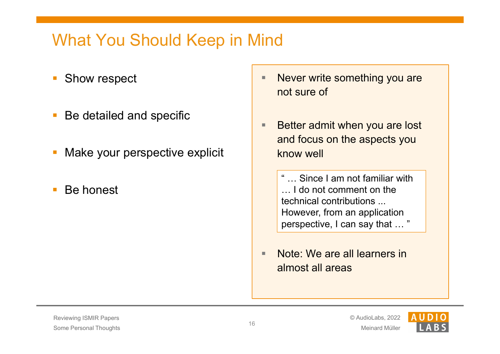- Show respect
- Be detailed and specific
- Make your perspective explicit
- Be honest
- $\blacksquare$  Never write something you are not sure of
- $\blacksquare$  Better admit when you are lost and focus on the aspects you know well

**Since I am not familiar with** … I do not comment on the technical contributions ... However, from an application perspective, I can say that … "

 $\blacksquare$  Note: We are all learners in almost all areas

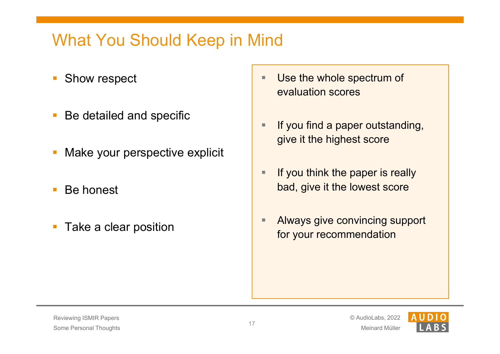- Show respect
- Be detailed and specific
- Make your perspective explicit
- Be honest
- $\mathcal{L}_{\mathcal{A}}$ Take a clear position
- $\blacksquare$  Use the whole spectrum of evaluation scores
- $\blacksquare$  If you find a paper outstanding, give it the highest score
- $\blacksquare$  If you think the paper is really bad, give it the lowest score
- $\blacksquare$  Always give convincing support for your recommendation

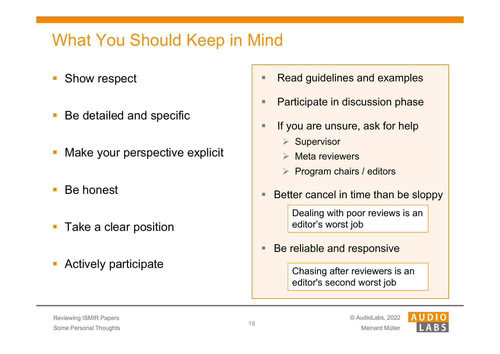- Show respect
- Be detailed and specific
- Make your perspective explicit
- Be honest
- Take a clear position
- Actively participate
- $\blacksquare$ Read guidelines and examples
- $\blacksquare$ Participate in discussion phase
- $\blacksquare$  If you are unsure, ask for help
	- $\triangleright$  Supervisor
	- $\blacktriangleright$ Meta reviewers
	- $\triangleright$  Program chairs / editors
- $\blacksquare$ Better cancel in time than be sloppy

Dealing with poor reviews is an editor's worst job

 $\qquad \qquad \blacksquare$ Be reliable and responsive

> Chasing after reviewers is an editor's second worst job

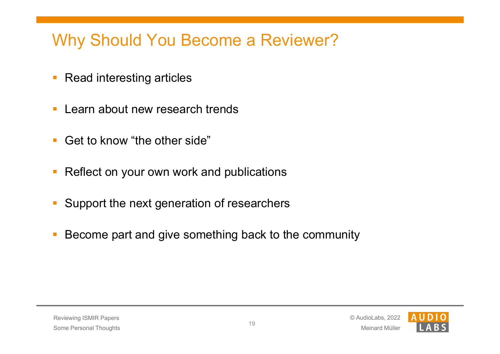# Why Should You Become a Reviewer?

- $\overline{\mathbb{R}^2}$ Read interesting articles
- Learn about new research trends
- Get to know "the other side"
- Reflect on your own work and publications
- Support the next generation of researchers
- Become part and give something back to the community

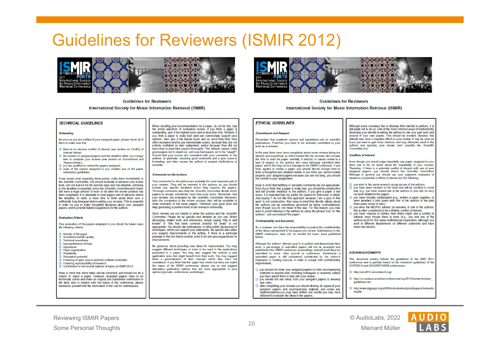#### Guidelines for Reviewers (ISMIR 2012)



**Guidelines for Reviewers** International Society for Music Information Retrieval (ISMIR)



#### **Guidelines for Reviewers**

International Society for Music Information Retrieval (ISMIR)

#### **ETHICAL GUIDELINES**

#### **Commitment and Respect**

Remember that academic careers and reputations rely on scientific publications. Therefore you have to be seriously committed to your work as a reviewer

In the past there have been complaints about some reviews being too sketchy and superficial, so that it looked like the reviewer did not take the time to read the paper carefully. A sketchy or casual review is a lack of respect to the authors who have seriously submitted their paper, and in the long run is a damage to the ISMIR conference. If you have agreed to review a paper, you should devote enough time to write a thoughtful and detailed review. If you think you cannot review properly your assigned papers because you are too busy, you should not commit to your assignment.

Keep in mind that belittling or sarcastic comments are not appropriate. Even if you think that a paper is really bad, you should be constructive<br>and still provide feedback to the authors. If you give a paper a low score, it is essential that you justify the reason for that score in detail. Just saving "I do not like this approach because I am a guru in this area" is not constructive. Also keep in mind that directly talking about the authors can be sometimes perceived as being confrontational even though you do not mean it this way. For this reason, you may want to avoid referring to the authors by using the phrase 'you' or 'the authors", and use instead "the paper"

#### **Confidentiality and Anonimity**

As a reviewer you have the responsibility to protect the confidentiality of the ideas represented in the papers you review. Submissions to the ISMIR conference have not (or should not have) been published before

Although the authors' ultimate goal is to publish and disseminate their work, a percentage of submitted papers will not be accepted and published in the ISMIR conference proceedings, and will most likely be submitted to some other journal or conference. Sometimes a submitted paper is still considered confidential by the author's employers or funding sources. In order to comply with confidentiality requirements

- $\Box$  you should not show your assigned papers (or their accompanying material) to anyone else including colleagues or students, unless you have asked them to help with your review;
- D you should not use ideas from your assigned papers to develop now onger  $\Box$  after completing your reviews you should destroy all copies of your
- assigned papers and accompanying material, and erase any implementations you may have written and results you may have obtained to evaluate the ideas in the napers.

advisable not to do so. One of the most common ways of inadvertently disclosing your identity is asking the authors to cite your past work and several of your own papers. This should be avoided. Besides, this attitude may have a negative effect on your review: it may be seen as if you just want to gain more citations, and may ultimately result in the authors just ignoring your review (and possibly the Scientific Committee tool

Although come reviewers like to displays their identity to outborn it is

#### **Conflicte of Interest**

Even though you would judge impartially any paper assigned to you there has to be no doubt about the impartiality of your reviews. Therefore if there is a potential conflict of interest with one of your assigned papers, you should inform the Scientific Committee Although in general you should use your judgment, examples of cituations of potential conflicts of interest are the following:

 $\Box$  you work in the same research group as one of the authors: □ you have been involved in the work and will be credited in some

- way (e.g. you have bosted one of the authors in your lab to carn out work related to the naner):
- $\Box$  you have formally collaborated (e.g., written a paper together, or been awarded a joint grant) with one of the authors in the past three years (more or less);
- D, you were the MS/PhD advisor (or advisee) of one of the authors this is often considered to be a lifetime conflict of interest; p you have reasons to believe that others might see a conflict of
- interest, even though there is none (e.g., you and one of the authors work for the same multinational cornoration, although you work in different denartments on different continents and have never met hefrire)

#### **A CKNOWLEDGEMENTS**

This document closely follows the quidelines of the SMC 2011 conference and is partially based on the reviewers' quidelines of the CVPR2010 and SIGGRAPH2008 conferences:

http://smc2011.smcnetwork.org

- http://cvl.umiacs.umd.edu/conferences/cvpr2010/review/reviewer quidelines.htm
- http://www.siggraph.org/s2008/submissions/juried/papers/instructio ns.php

Reviewing ISMIR Papers Some Personal Thoughts

**TECHNICAL GUIDELINES** 

As soon as you are notified of your assigned paper, please check all of

 $\Box$  there is no obvious conflict of interest (see section on Conflict a

 $\Box$  the number of assigned papers and the deadline allow you enough

 $\Box$  none of the papers assigned to you violates any of the paper

If any issues arise regarding these points, notify them immediately to

the Scientific Committee. You should schedule in advance your review

work, and not leave it for the last few days near the deadline. Adhering

to the deadline is essential since the Scientific Committee and Chairs

still have a huge amount of work to do after the review process has

been completed. It is advisable to read papers well in advance before

the deadline, in order to have time to think about them over a

sufficiently long timespan before writing your reviews. This is essential

in order for you to make thoughtful decisions about your assigned

Your evaluation of the papers assigned to you should be based upon

papers, and to provide helpful suggestions for the authors.

□ Fostering of open source and free software tools/data

□ Contribution to the overall balance of topics at ISMIR 2012

Keep in mind that minor flaws can be corrected, and should not be a

reason to reject a paper. However, accepted papers have to be

technically sound and make an original and substantial contribution to

the field, also in relation with the tanics of the conference; please

familiarize yourself with the information in the Call for Submissions.

 $\Box$  you are qualified to review the papers assigned:

time to complete your reviews (see section on Commitment and

Scheduling

them to make sure that

Interest below)

Respect below)

**Evaluation Criteria** 

the following criteria:

 $\Box$  Novelty of the paper

**D** Technical soundness

**D** Paper organization

 $\Box$  Stimulation potential

□ Fostering reproducibility of research

 $\Box$  Importance

**D** Readability

Scholarly/scientific quality

 $\Box$  Annonriatenass of tonic

submission guidelines.

When deciding your recommendation for a paper, do not be shy. Use the whole spectrum of evaluation scores; if you think a naper is outstanding, give it the highest score and no less than that. Similarly, it you think a paper is really bad (and can convincingly support your opinion), then give it the lowest score and no more than that. Very often reviewers tend to use intermediate scores, because they are no entirely confident on their judgement, and/or because they did not have time to read their papers thoroughly. This attitude causes really good papers not to stand out, and very bad papers not to be "caught" Ensure that your scores are consistent with your comments to the authors. In particular, receiving good comments and a poor score is frustrating, and often causes the authors to request clarifications of

#### **Comments for the Authors**

mhuffalo

Your comments for the authors are probably the most important part of vour reviews. They will be returned to the authors, so you should include any specific feedback which help improve the papers Thorough comments also help the Scientific Committee decide which papers to accept, sometimes more than your score. Remember that your reviews are evaluated by the Scientific Committee Moreover after the completion of the review process, they will be available to other reviewers of the same papers. Therefore your good work will help generating a positive trend in the research community

Short reviews are not helpful to either the authors and the Scientific Committee. Please be as specific and detailed as you can. When discussing related work and references, simply saying this is well known" or "this has been common practice for years" is no appropriate. You should cite publications, or other public disclosures of techniques, which can support your statements. Be specific also when you suggest improvements in the writing. If there is a particular passage in the text that is unclear, point it out and give suggestions to imnrovamante

Be generous about providing new ideas for improvement. You may suggest different techniques or tools to be used in the applications presented in a paper. You may also suggest the authors a new application area that might benefit from their work. You may suggest them a generalization of their concept, which they have no considered. If you think that the naner has marits but does not match the topics of the ISMIR conference, please say so and suggest alternative publication options that are more appropriate in you oninion (inurnals, conferences, workshops)



© AudioLabs, 2022 Meinard Müller

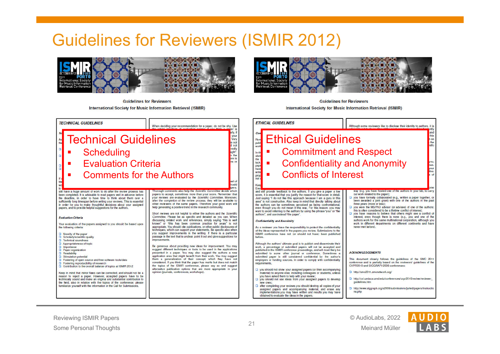#### Guidelines for Reviewers (ISMIR 2012)



**Guidelines for Reviewers** International Society for Music Information Retrieval (ISMIR)



**Guidelines for Reviewers** International Society for Music Information Retrieval (ISMIR)



© AudioLabs, 2022